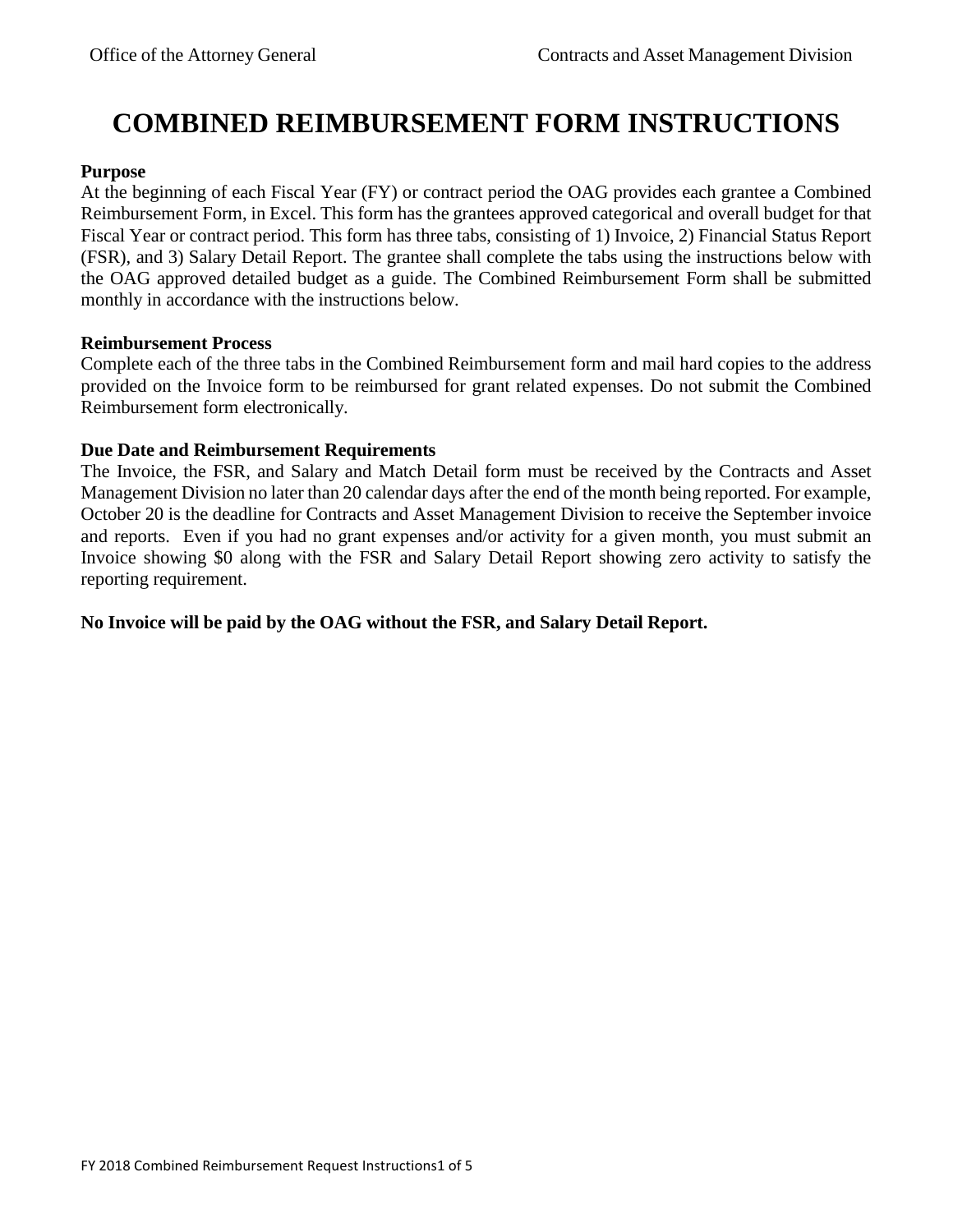# **COMBINED REIMBURSEMENT FORM INSTRUCTIONS**

### **Purpose**

At the beginning of each Fiscal Year (FY) or contract period the OAG provides each grantee a Combined Reimbursement Form, in Excel. This form has the grantees approved categorical and overall budget for that Fiscal Year or contract period. This form has three tabs, consisting of 1) Invoice, 2) Financial Status Report (FSR), and 3) Salary Detail Report. The grantee shall complete the tabs using the instructions below with the OAG approved detailed budget as a guide. The Combined Reimbursement Form shall be submitted monthly in accordance with the instructions below.

### **Reimbursement Process**

Complete each of the three tabs in the Combined Reimbursement form and mail hard copies to the address provided on the Invoice form to be reimbursed for grant related expenses. Do not submit the Combined Reimbursement form electronically.

# **Due Date and Reimbursement Requirements**

The Invoice, the FSR, and Salary and Match Detail form must be received by the Contracts and Asset Management Division no later than 20 calendar days after the end of the month being reported. For example, October 20 is the deadline for Contracts and Asset Management Division to receive the September invoice and reports. Even if you had no grant expenses and/or activity for a given month, you must submit an Invoice showing \$0 along with the FSR and Salary Detail Report showing zero activity to satisfy the reporting requirement.

# **No Invoice will be paid by the OAG without the FSR, and Salary Detail Report.**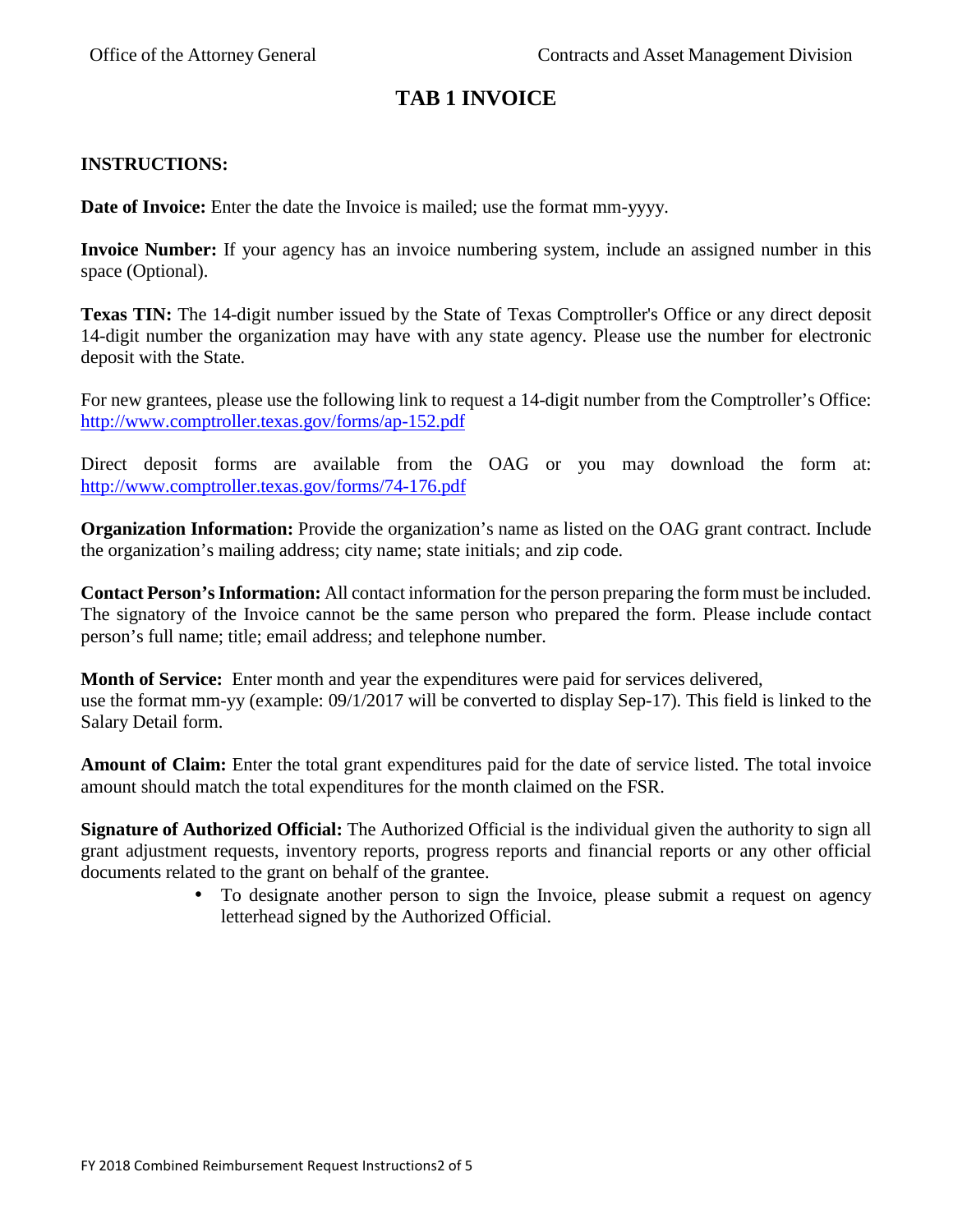# **TAB 1 INVOICE**

### **INSTRUCTIONS:**

**Date of Invoice:** Enter the date the Invoice is mailed; use the format mm-yyyy.

**Invoice Number:** If your agency has an invoice numbering system, include an assigned number in this space (Optional).

**Texas TIN:** The 14-digit number issued by the State of Texas Comptroller's Office or any direct deposit 14-digit number the organization may have with any state agency. Please use the number for electronic deposit with the State.

For new grantees, please use the following link to request a 14-digit number from the Comptroller's Office: http://www.comptroller.texas.gov/forms/ap-152.pdf

Direct deposit forms are available from the OAG or you may download the form at: http://www.comptroller.texas.gov/forms/74-176.pdf

**Organization Information:** Provide the organization's name as listed on the OAG grant contract. Include the organization's mailing address; city name; state initials; and zip code.

**Contact Person's Information:** All contact information for the person preparing the form must be included. The signatory of the Invoice cannot be the same person who prepared the form. Please include contact person's full name; title; email address; and telephone number.

**Month of Service:** Enter month and year the expenditures were paid for services delivered, use the format mm-yy (example: 09/1/2017 will be converted to display Sep-17). This field is linked to the Salary Detail form.

**Amount of Claim:** Enter the total grant expenditures paid for the date of service listed. The total invoice amount should match the total expenditures for the month claimed on the FSR.

**Signature of Authorized Official:** The Authorized Official is the individual given the authority to sign all grant adjustment requests, inventory reports, progress reports and financial reports or any other official documents related to the grant on behalf of the grantee.

> • To designate another person to sign the Invoice, please submit a request on agency letterhead signed by the Authorized Official.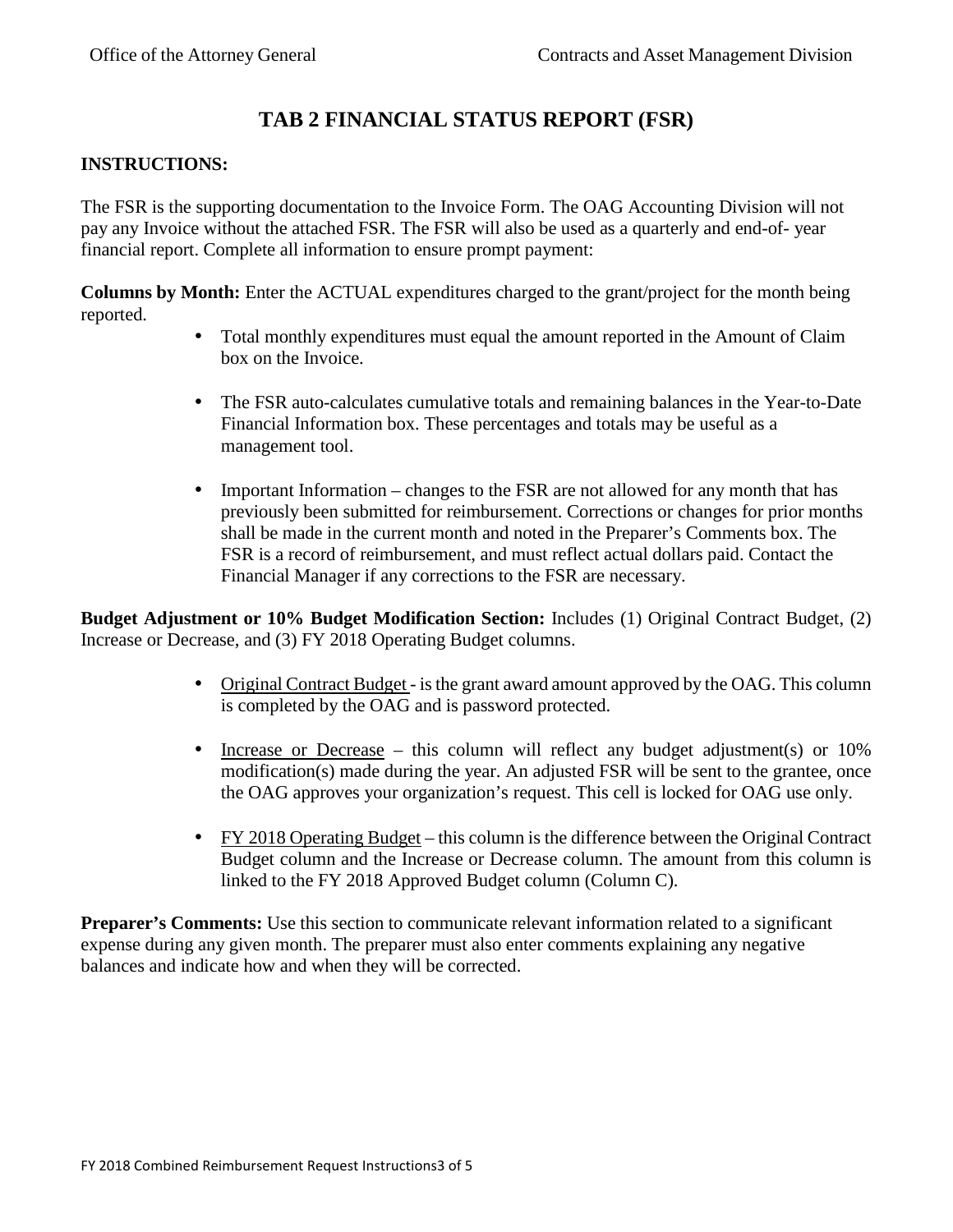# **TAB 2 FINANCIAL STATUS REPORT (FSR)**

### **INSTRUCTIONS:**

The FSR is the supporting documentation to the Invoice Form. The OAG Accounting Division will not pay any Invoice without the attached FSR. The FSR will also be used as a quarterly and end-of- year financial report. Complete all information to ensure prompt payment:

**Columns by Month:** Enter the ACTUAL expenditures charged to the grant/project for the month being reported.

- Total monthly expenditures must equal the amount reported in the Amount of Claim box on the Invoice.
- The FSR auto-calculates cumulative totals and remaining balances in the Year-to-Date Financial Information box. These percentages and totals may be useful as a management tool.
- Important Information changes to the FSR are not allowed for any month that has previously been submitted for reimbursement. Corrections or changes for prior months shall be made in the current month and noted in the Preparer's Comments box. The FSR is a record of reimbursement, and must reflect actual dollars paid. Contact the Financial Manager if any corrections to the FSR are necessary.

**Budget Adjustment or 10% Budget Modification Section:** Includes (1) Original Contract Budget, (2) Increase or Decrease, and (3) FY 2018 Operating Budget columns.

- Original Contract Budget is the grant award amount approved by the OAG. This column is completed by the OAG and is password protected.
- Increase or Decrease this column will reflect any budget adjustment(s) or 10% modification(s) made during the year. An adjusted FSR will be sent to the grantee, once the OAG approves your organization's request. This cell is locked for OAG use only.
- FY 2018 Operating Budget this column is the difference between the Original Contract Budget column and the Increase or Decrease column. The amount from this column is linked to the FY 2018 Approved Budget column (Column C).

**Preparer's Comments:** Use this section to communicate relevant information related to a significant expense during any given month. The preparer must also enter comments explaining any negative balances and indicate how and when they will be corrected.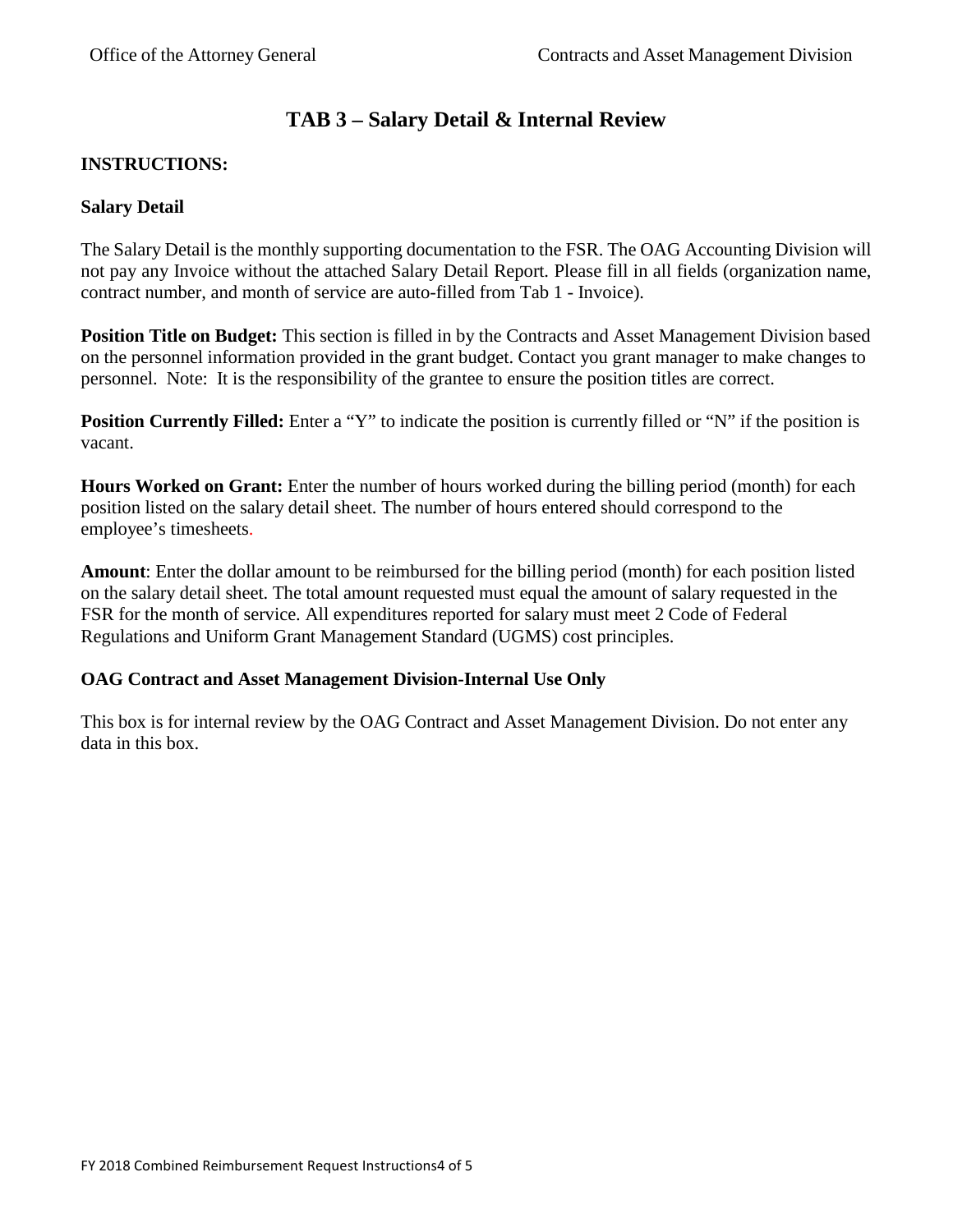# **TAB 3 – Salary Detail & Internal Review**

# **INSTRUCTIONS:**

### **Salary Detail**

The Salary Detail is the monthly supporting documentation to the FSR. The OAG Accounting Division will not pay any Invoice without the attached Salary Detail Report. Please fill in all fields (organization name, contract number, and month of service are auto-filled from Tab 1 - Invoice).

**Position Title on Budget:** This section is filled in by the Contracts and Asset Management Division based on the personnel information provided in the grant budget. Contact you grant manager to make changes to personnel. Note: It is the responsibility of the grantee to ensure the position titles are correct.

**Position Currently Filled:** Enter a "Y" to indicate the position is currently filled or "N" if the position is vacant.

**Hours Worked on Grant:** Enter the number of hours worked during the billing period (month) for each position listed on the salary detail sheet. The number of hours entered should correspond to the employee's timesheets.

**Amount**: Enter the dollar amount to be reimbursed for the billing period (month) for each position listed on the salary detail sheet. The total amount requested must equal the amount of salary requested in the FSR for the month of service. All expenditures reported for salary must meet 2 Code of Federal Regulations and Uniform Grant Management Standard (UGMS) cost principles.

# **OAG Contract and Asset Management Division-Internal Use Only**

This box is for internal review by the OAG Contract and Asset Management Division. Do not enter any data in this box.